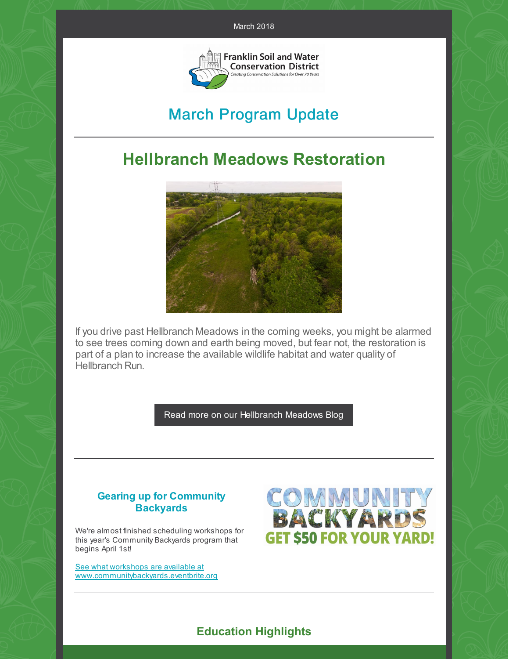

# March Program Update

# **Hellbranch Meadows Restoration**



If you drive past Hellbranch Meadows in the coming weeks, you might be alarmed to see trees coming down and earth being moved, but fear not, the restoration is part of a plan to increase the available wildlife habitat and water quality of Hellbranch Run.

Read more on our [Hellbranch](https://www.franklinswcd.org/hellbranch-meadows-news) Meadows Blog

## **Gearing up for Community Backyards**

We're almost finished scheduling workshops for this year's Community Backyards program that begins April 1st!

See what workshops are available at [www.communitybackyards.eventbrite.org](http://www.communitybackyards.eventbrite.com)



## **Education Highlights**